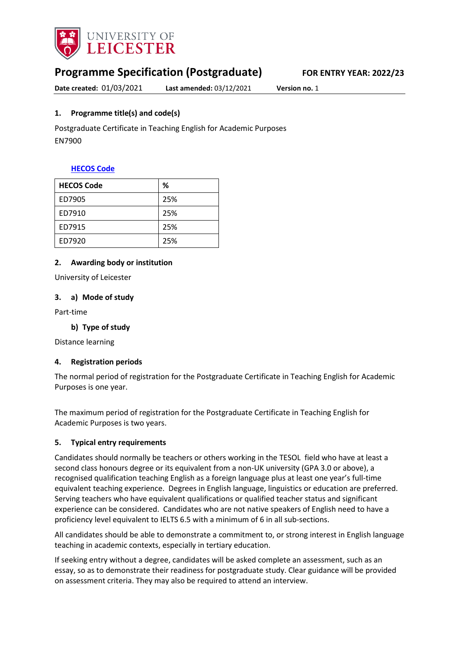

## **Programme Specification (Postgraduate) FOR ENTRY YEAR: 2022/23**

**Date created:** 01/03/2021 **Last amended:** 03/12/2021 **Version no.** 1

#### <span id="page-0-0"></span>**1. Programme title(s) and code(s)**

Postgraduate Certificate in Teaching English for Academic Purposes EN7900

#### **[HECOS Code](https://www.hesa.ac.uk/innovation/hecos)**

| <b>HECOS Code</b> | %   |
|-------------------|-----|
| ED7905            | 25% |
| ED7910            | 25% |
| ED7915            | 25% |
| ED7920            | 25% |

#### **2. Awarding body or institution**

University of Leicester

#### **3. a) Mode of study**

Part-time

#### **b) Type of study**

Distance learning

#### **4. Registration periods**

The normal period of registration for the Postgraduate Certificate in Teaching English for Academic Purposes is one year.

The maximum period of registration for the Postgraduate Certificate in Teaching English for Academic Purposes is two years.

#### **5. Typical entry requirements**

Candidates should normally be teachers or others working in the TESOL field who have at least a second class honours degree or its equivalent from a non-UK university (GPA 3.0 or above), a recognised qualification teaching English as a foreign language plus at least one year's full-time equivalent teaching experience. Degrees in English language, linguistics or education are preferred. Serving teachers who have equivalent qualifications or qualified teacher status and significant experience can be considered. Candidates who are not native speakers of English need to have a proficiency level equivalent to IELTS 6.5 with a minimum of 6 in all sub-sections.

All candidates should be able to demonstrate a commitment to, or strong interest in English language teaching in academic contexts, especially in tertiary education.

If seeking entry without a degree, candidates will be asked complete an assessment, such as an essay, so as to demonstrate their readiness for postgraduate study. Clear guidance will be provided on assessment criteria. They may also be required to attend an interview.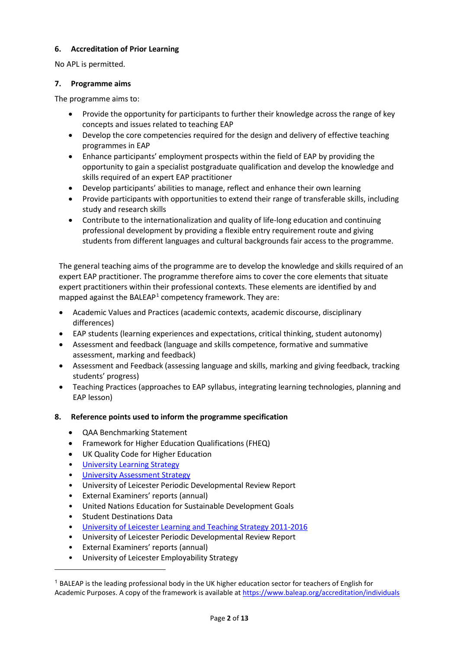#### **6. Accreditation of Prior Learning**

No APL is permitted.

#### **7. Programme aims**

The programme aims to:

- Provide the opportunity for participants to further their knowledge across the range of key concepts and issues related to teaching EAP
- Develop the core competencies required for the design and delivery of effective teaching programmes in EAP
- Enhance participants' employment prospects within the field of EAP by providing the opportunity to gain a specialist postgraduate qualification and develop the knowledge and skills required of an expert EAP practitioner
- Develop participants' abilities to manage, reflect and enhance their own learning
- Provide participants with opportunities to extend their range of transferable skills, including study and research skills
- Contribute to the internationalization and quality of life-long education and continuing professional development by providing a flexible entry requirement route and giving students from different languages and cultural backgrounds fair access to the programme.

The general teaching aims of the programme are to develop the knowledge and skills required of an expert EAP practitioner. The programme therefore aims to cover the core elements that situate expert practitioners within their professional contexts. These elements are identified by and mapped against the BALEAP<sup>[1](#page-1-0)</sup> competency framework. They are:

- Academic Values and Practices (academic contexts, academic discourse, disciplinary differences)
- EAP students (learning experiences and expectations, critical thinking, student autonomy)
- Assessment and feedback (language and skills competence, formative and summative assessment, marking and feedback)
- Assessment and Feedback (assessing language and skills, marking and giving feedback, tracking students' progress)
- Teaching Practices (approaches to EAP syllabus, integrating learning technologies, planning and EAP lesson)

### **8. Reference points used to inform the programme specification**

- QAA Benchmarking Statement
- Framework for Higher Education Qualifications (FHEQ)
- UK Quality Code for Higher Education
- [University Learning](https://www2.le.ac.uk/offices/sas2/quality/learnteach) Strategy
- [University Assessment Strategy](https://www2.le.ac.uk/offices/sas2/quality/learnteach)
- University of Leicester Periodic Developmental Review Report
- External Examiners' reports (annual)
- United Nations Education for Sustainable Development Goals
- Student Destinations Data

**.** 

- [University of Leicester Learning and Teaching Strategy 2011-2016](http://www2.le.ac.uk/offices/sas2/quality/learnteach)
- University of Leicester Periodic Developmental Review Report
- External Examiners' reports (annual)
- University of Leicester Employability Strategy

<span id="page-1-0"></span><sup>1</sup> BALEAP is the leading professional body in the UK higher education sector for teachers of English for Academic Purposes. A copy of the framework is available at<https://www.baleap.org/accreditation/individuals>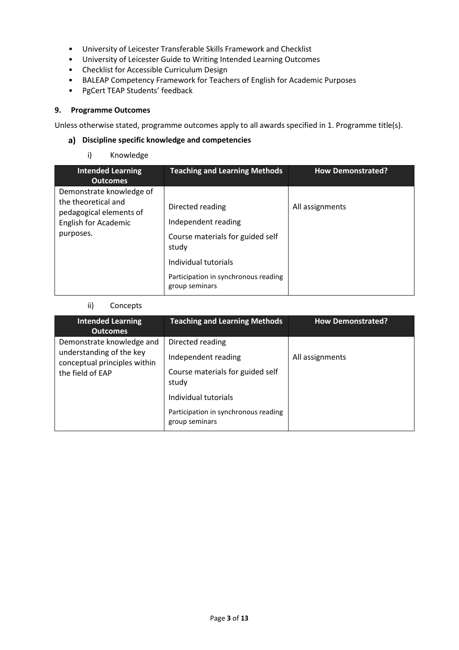- University of Leicester Transferable Skills Framework and Checklist
- University of Leicester Guide to Writing Intended Learning Outcomes
- Checklist for Accessible Curriculum Design
- BALEAP Competency Framework for Teachers of English for Academic Purposes
- PgCert TEAP Students' feedback

#### **9. Programme Outcomes**

Unless otherwise stated, programme outcomes apply to all awards specified in [1.](#page-0-0) Programme title(s).

#### **Discipline specific knowledge and competencies**

#### i) Knowledge

| <b>Intended Learning</b><br><b>Outcomes</b>                                                                            | <b>Teaching and Learning Methods</b>                                                 | <b>How Demonstrated?</b> |
|------------------------------------------------------------------------------------------------------------------------|--------------------------------------------------------------------------------------|--------------------------|
| Demonstrate knowledge of<br>the theoretical and<br>pedagogical elements of<br><b>English for Academic</b><br>purposes. | Directed reading<br>Independent reading<br>Course materials for guided self<br>study | All assignments          |
|                                                                                                                        | Individual tutorials<br>Participation in synchronous reading<br>group seminars       |                          |

#### ii) Concepts

| <b>Intended Learning</b><br><b>Outcomes</b>                                                               | <b>Teaching and Learning Methods</b>                                                                                                                                   | <b>How Demonstrated?</b> |
|-----------------------------------------------------------------------------------------------------------|------------------------------------------------------------------------------------------------------------------------------------------------------------------------|--------------------------|
| Demonstrate knowledge and<br>understanding of the key<br>conceptual principles within<br>the field of EAP | Directed reading<br>Independent reading<br>Course materials for guided self<br>study<br>Individual tutorials<br>Participation in synchronous reading<br>group seminars | All assignments          |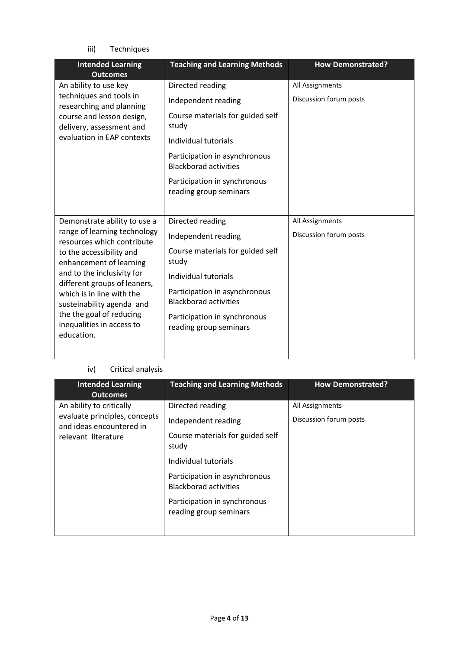iii) Techniques

| <b>Teaching and Learning Methods</b>                          | <b>How Demonstrated?</b> |
|---------------------------------------------------------------|--------------------------|
| Directed reading                                              | All Assignments          |
| Independent reading                                           | Discussion forum posts   |
| Course materials for guided self<br>study                     |                          |
| Individual tutorials                                          |                          |
| Participation in asynchronous<br><b>Blackborad activities</b> |                          |
| Participation in synchronous<br>reading group seminars        |                          |
|                                                               |                          |
|                                                               | All Assignments          |
| Independent reading                                           | Discussion forum posts   |
| Course materials for guided self<br>study                     |                          |
| Individual tutorials                                          |                          |
| Participation in asynchronous<br><b>Blackborad activities</b> |                          |
| Participation in synchronous<br>reading group seminars        |                          |
|                                                               | Directed reading         |

## iv) Critical analysis

| <b>Intended Learning</b><br><b>Outcomes</b>                                                                  | <b>Teaching and Learning Methods</b>                                                                                                                                                                                                    | <b>How Demonstrated?</b>                  |
|--------------------------------------------------------------------------------------------------------------|-----------------------------------------------------------------------------------------------------------------------------------------------------------------------------------------------------------------------------------------|-------------------------------------------|
| An ability to critically<br>evaluate principles, concepts<br>and ideas encountered in<br>relevant literature | Directed reading<br>Independent reading<br>Course materials for guided self<br>study<br>Individual tutorials<br>Participation in asynchronous<br><b>Blackborad activities</b><br>Participation in synchronous<br>reading group seminars | All Assignments<br>Discussion forum posts |
|                                                                                                              |                                                                                                                                                                                                                                         |                                           |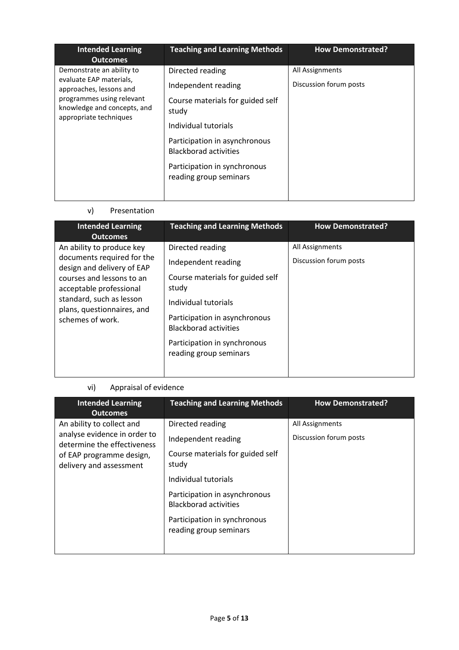| <b>Intended Learning</b><br><b>Outcomes</b>                                                                                                                           | <b>Teaching and Learning Methods</b>                                                                                                                                          | <b>How Demonstrated?</b>                  |
|-----------------------------------------------------------------------------------------------------------------------------------------------------------------------|-------------------------------------------------------------------------------------------------------------------------------------------------------------------------------|-------------------------------------------|
| Demonstrate an ability to<br>evaluate EAP materials,<br>approaches, lessons and<br>programmes using relevant<br>knowledge and concepts, and<br>appropriate techniques | Directed reading<br>Independent reading<br>Course materials for guided self<br>study<br>Individual tutorials<br>Participation in asynchronous<br><b>Blackborad activities</b> | All Assignments<br>Discussion forum posts |
|                                                                                                                                                                       | Participation in synchronous<br>reading group seminars                                                                                                                        |                                           |

## v) Presentation

| <b>Intended Learning</b><br><b>Outcomes</b>                                                                                                                                                                                 | <b>Teaching and Learning Methods</b>                                                                                                                                                                                                    | <b>How Demonstrated?</b>                  |
|-----------------------------------------------------------------------------------------------------------------------------------------------------------------------------------------------------------------------------|-----------------------------------------------------------------------------------------------------------------------------------------------------------------------------------------------------------------------------------------|-------------------------------------------|
| An ability to produce key<br>documents required for the<br>design and delivery of EAP<br>courses and lessons to an<br>acceptable professional<br>standard, such as lesson<br>plans, questionnaires, and<br>schemes of work. | Directed reading<br>Independent reading<br>Course materials for guided self<br>study<br>Individual tutorials<br>Participation in asynchronous<br><b>Blackborad activities</b><br>Participation in synchronous<br>reading group seminars | All Assignments<br>Discussion forum posts |

## vi) Appraisal of evidence

| <b>Intended Learning</b><br><b>Outcomes</b>                                                                          | <b>Teaching and Learning Methods</b>                                                                                                              | <b>How Demonstrated?</b>                  |
|----------------------------------------------------------------------------------------------------------------------|---------------------------------------------------------------------------------------------------------------------------------------------------|-------------------------------------------|
| An ability to collect and<br>analyse evidence in order to<br>determine the effectiveness<br>of EAP programme design, | Directed reading<br>Independent reading<br>Course materials for guided self                                                                       | All Assignments<br>Discussion forum posts |
| delivery and assessment                                                                                              | study<br>Individual tutorials<br>Participation in asynchronous<br>Blackborad activities<br>Participation in synchronous<br>reading group seminars |                                           |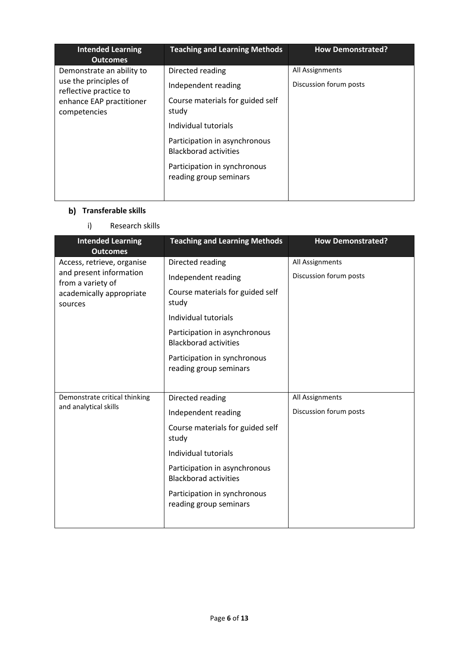| <b>Intended Learning</b><br><b>Outcomes</b>                                                                              | <b>Teaching and Learning Methods</b>                                                                                                                                                                                                    | <b>How Demonstrated?</b>                  |
|--------------------------------------------------------------------------------------------------------------------------|-----------------------------------------------------------------------------------------------------------------------------------------------------------------------------------------------------------------------------------------|-------------------------------------------|
| Demonstrate an ability to<br>use the principles of<br>reflective practice to<br>enhance EAP practitioner<br>competencies | Directed reading<br>Independent reading<br>Course materials for guided self<br>study<br>Individual tutorials<br>Participation in asynchronous<br><b>Blackborad activities</b><br>Participation in synchronous<br>reading group seminars | All Assignments<br>Discussion forum posts |

## **b)** Transferable skills

i) Research skills

| <b>Intended Learning</b><br><b>Outcomes</b>  | <b>Teaching and Learning Methods</b>                          | <b>How Demonstrated?</b> |
|----------------------------------------------|---------------------------------------------------------------|--------------------------|
| Access, retrieve, organise                   | Directed reading                                              | All Assignments          |
| and present information<br>from a variety of | Independent reading                                           | Discussion forum posts   |
| academically appropriate<br>sources          | Course materials for guided self<br>study                     |                          |
|                                              | Individual tutorials                                          |                          |
|                                              | Participation in asynchronous<br><b>Blackborad activities</b> |                          |
|                                              | Participation in synchronous<br>reading group seminars        |                          |
|                                              |                                                               |                          |
| Demonstrate critical thinking                | Directed reading                                              | All Assignments          |
| and analytical skills                        | Independent reading                                           | Discussion forum posts   |
|                                              | Course materials for guided self<br>study                     |                          |
|                                              | Individual tutorials                                          |                          |
|                                              | Participation in asynchronous<br><b>Blackborad activities</b> |                          |
|                                              | Participation in synchronous<br>reading group seminars        |                          |
|                                              |                                                               |                          |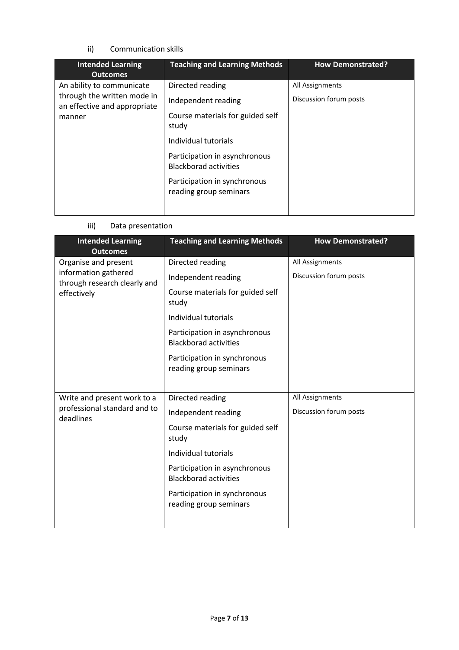#### ii) Communication skills

| <b>Intended Learning</b><br><b>Outcomes</b>                                                        | <b>Teaching and Learning Methods</b>                                                                                                                                                                                                    | <b>How Demonstrated?</b>                  |
|----------------------------------------------------------------------------------------------------|-----------------------------------------------------------------------------------------------------------------------------------------------------------------------------------------------------------------------------------------|-------------------------------------------|
| An ability to communicate<br>through the written mode in<br>an effective and appropriate<br>manner | Directed reading<br>Independent reading<br>Course materials for guided self<br>study<br>Individual tutorials<br>Participation in asynchronous<br><b>Blackborad activities</b><br>Participation in synchronous<br>reading group seminars | All Assignments<br>Discussion forum posts |

#### iii) Data presentation

| <b>Intended Learning</b><br><b>Outcomes</b>          | <b>Teaching and Learning Methods</b>                          | <b>How Demonstrated?</b> |
|------------------------------------------------------|---------------------------------------------------------------|--------------------------|
| Organise and present                                 | Directed reading                                              | All Assignments          |
| information gathered<br>through research clearly and | Independent reading                                           | Discussion forum posts   |
| effectively                                          | Course materials for guided self<br>study                     |                          |
|                                                      | Individual tutorials                                          |                          |
|                                                      | Participation in asynchronous<br><b>Blackborad activities</b> |                          |
|                                                      | Participation in synchronous<br>reading group seminars        |                          |
|                                                      |                                                               |                          |
| Write and present work to a                          | Directed reading                                              | All Assignments          |
| professional standard and to<br>deadlines            | Independent reading                                           | Discussion forum posts   |
|                                                      | Course materials for guided self<br>study                     |                          |
|                                                      | Individual tutorials                                          |                          |
|                                                      | Participation in asynchronous<br><b>Blackborad activities</b> |                          |
|                                                      | Participation in synchronous<br>reading group seminars        |                          |
|                                                      |                                                               |                          |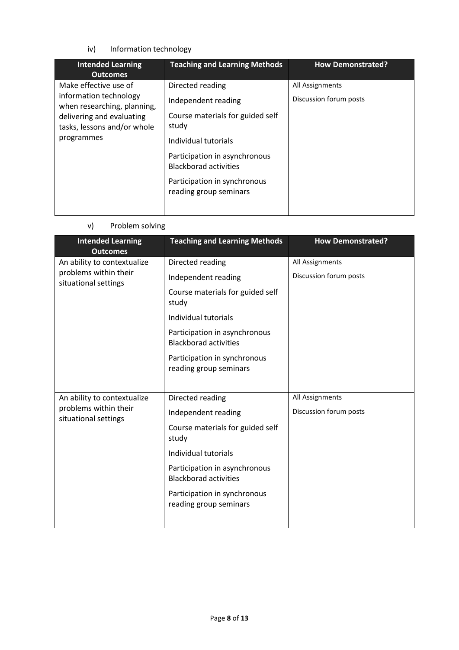#### iv) Information technology

| <b>Intended Learning</b><br><b>Outcomes</b>                                                                                                              | <b>Teaching and Learning Methods</b>                                                                                                                                                                                                    | <b>How Demonstrated?</b>                  |
|----------------------------------------------------------------------------------------------------------------------------------------------------------|-----------------------------------------------------------------------------------------------------------------------------------------------------------------------------------------------------------------------------------------|-------------------------------------------|
| Make effective use of<br>information technology<br>when researching, planning,<br>delivering and evaluating<br>tasks, lessons and/or whole<br>programmes | Directed reading<br>Independent reading<br>Course materials for guided self<br>study<br>Individual tutorials<br>Participation in asynchronous<br><b>Blackborad activities</b><br>Participation in synchronous<br>reading group seminars | All Assignments<br>Discussion forum posts |

## v) Problem solving

| <b>Intended Learning</b><br><b>Outcomes</b>   | <b>Teaching and Learning Methods</b>                          | <b>How Demonstrated?</b> |
|-----------------------------------------------|---------------------------------------------------------------|--------------------------|
| An ability to contextualize                   | Directed reading                                              | All Assignments          |
| problems within their<br>situational settings | Independent reading                                           | Discussion forum posts   |
|                                               | Course materials for guided self<br>study                     |                          |
|                                               | Individual tutorials                                          |                          |
|                                               | Participation in asynchronous<br><b>Blackborad activities</b> |                          |
|                                               | Participation in synchronous<br>reading group seminars        |                          |
|                                               |                                                               |                          |
| An ability to contextualize                   | Directed reading                                              | All Assignments          |
| problems within their<br>situational settings | Independent reading                                           | Discussion forum posts   |
|                                               | Course materials for guided self<br>study                     |                          |
|                                               | Individual tutorials                                          |                          |
|                                               | Participation in asynchronous<br><b>Blackborad activities</b> |                          |
|                                               | Participation in synchronous<br>reading group seminars        |                          |
|                                               |                                                               |                          |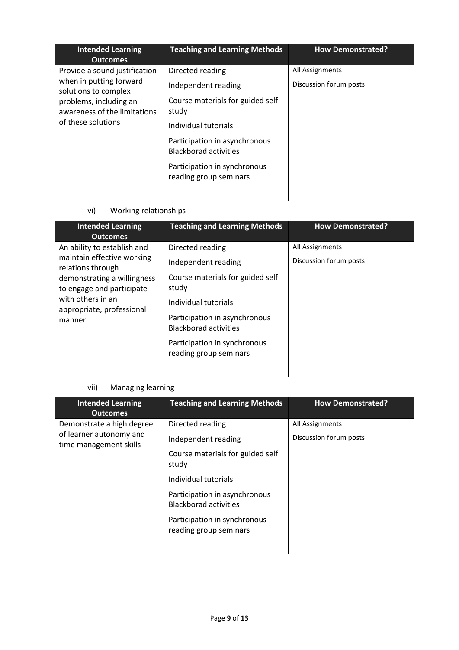| <b>Intended Learning</b><br><b>Outcomes</b>                                                                                                                      | <b>Teaching and Learning Methods</b>                                                                                                                                                                                                    | <b>How Demonstrated?</b>                  |
|------------------------------------------------------------------------------------------------------------------------------------------------------------------|-----------------------------------------------------------------------------------------------------------------------------------------------------------------------------------------------------------------------------------------|-------------------------------------------|
| Provide a sound justification<br>when in putting forward<br>solutions to complex<br>problems, including an<br>awareness of the limitations<br>of these solutions | Directed reading<br>Independent reading<br>Course materials for guided self<br>study<br>Individual tutorials<br>Participation in asynchronous<br><b>Blackborad activities</b><br>Participation in synchronous<br>reading group seminars | All Assignments<br>Discussion forum posts |
|                                                                                                                                                                  |                                                                                                                                                                                                                                         |                                           |

vi) Working relationships

| <b>Intended Learning</b><br><b>Outcomes</b>                                                                                                                                                            | <b>Teaching and Learning Methods</b>                                                                                                                                                                                                    | <b>How Demonstrated?</b>                  |
|--------------------------------------------------------------------------------------------------------------------------------------------------------------------------------------------------------|-----------------------------------------------------------------------------------------------------------------------------------------------------------------------------------------------------------------------------------------|-------------------------------------------|
| An ability to establish and<br>maintain effective working<br>relations through<br>demonstrating a willingness<br>to engage and participate<br>with others in an<br>appropriate, professional<br>manner | Directed reading<br>Independent reading<br>Course materials for guided self<br>study<br>Individual tutorials<br>Participation in asynchronous<br><b>Blackborad activities</b><br>Participation in synchronous<br>reading group seminars | All Assignments<br>Discussion forum posts |

## vii) Managing learning

| <b>Teaching and Learning Methods</b>                                                                                                                                                                                                    | <b>How Demonstrated?</b>                  |
|-----------------------------------------------------------------------------------------------------------------------------------------------------------------------------------------------------------------------------------------|-------------------------------------------|
| Directed reading<br>Independent reading<br>Course materials for guided self<br>study<br>Individual tutorials<br>Participation in asynchronous<br><b>Blackborad activities</b><br>Participation in synchronous<br>reading group seminars | All Assignments<br>Discussion forum posts |
|                                                                                                                                                                                                                                         |                                           |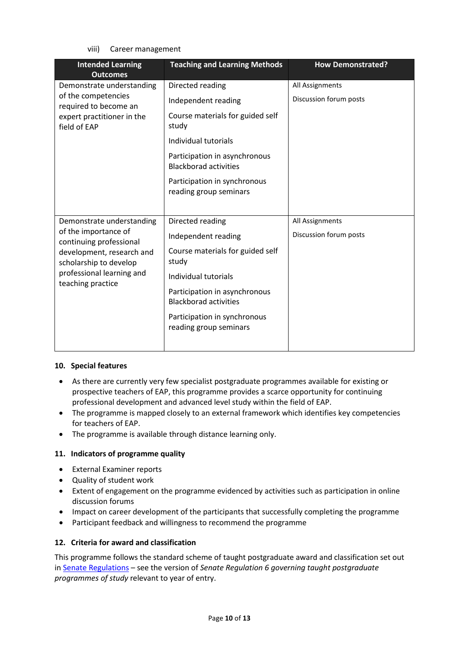viii) Career management

| <b>Intended Learning</b><br><b>Outcomes</b>         | <b>Teaching and Learning Methods</b>                          | <b>How Demonstrated?</b> |
|-----------------------------------------------------|---------------------------------------------------------------|--------------------------|
| Demonstrate understanding                           | Directed reading                                              | All Assignments          |
| of the competencies<br>required to become an        | Independent reading                                           | Discussion forum posts   |
| expert practitioner in the<br>field of EAP          | Course materials for guided self<br>study                     |                          |
|                                                     | Individual tutorials                                          |                          |
|                                                     | Participation in asynchronous<br><b>Blackborad activities</b> |                          |
|                                                     | Participation in synchronous<br>reading group seminars        |                          |
|                                                     |                                                               |                          |
| Demonstrate understanding                           | Directed reading                                              | All Assignments          |
| of the importance of<br>continuing professional     | Independent reading                                           | Discussion forum posts   |
| development, research and<br>scholarship to develop | Course materials for guided self<br>study                     |                          |
| professional learning and<br>teaching practice      | Individual tutorials                                          |                          |
|                                                     | Participation in asynchronous<br><b>Blackborad activities</b> |                          |
|                                                     | Participation in synchronous<br>reading group seminars        |                          |
|                                                     |                                                               |                          |

#### **10. Special features**

- As there are currently very few specialist postgraduate programmes available for existing or prospective teachers of EAP, this programme provides a scarce opportunity for continuing professional development and advanced level study within the field of EAP.
- The programme is mapped closely to an external framework which identifies key competencies for teachers of EAP.
- The programme is available through distance learning only.

#### **11. Indicators of programme quality**

- External Examiner reports
- Quality of student work
- Extent of engagement on the programme evidenced by activities such as participation in online discussion forums
- Impact on career development of the participants that successfully completing the programme
- Participant feedback and willingness to recommend the programme

#### **12. Criteria for award and classification**

This programme follows the standard scheme of taught postgraduate award and classification set out i[n Senate Regulations](http://www.le.ac.uk/senate-regulations) – see the version of *Senate Regulation 6 governing taught postgraduate programmes of study* relevant to year of entry.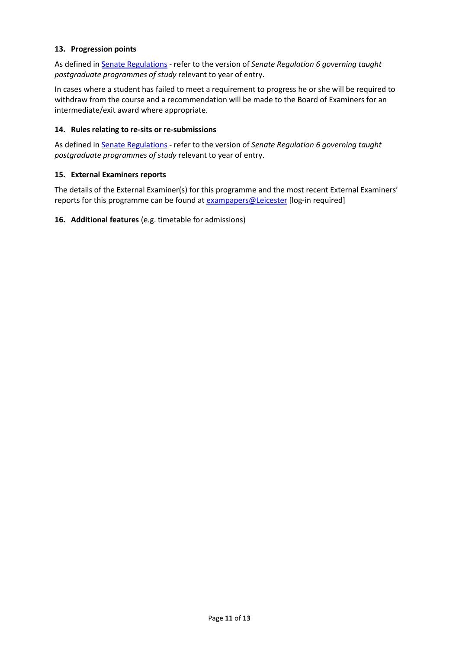#### **13. Progression points**

As defined i[n Senate Regulations](http://www.le.ac.uk/senate-regulation6) - refer to the version of *Senate Regulation 6 governing taught postgraduate programmes of study* relevant to year of entry.

In cases where a student has failed to meet a requirement to progress he or she will be required to withdraw from the course and a recommendation will be made to the Board of Examiners for an intermediate/exit award where appropriate.

#### **14. Rules relating to re-sits or re-submissions**

As defined i[n Senate Regulations](http://www.le.ac.uk/senate-regulation6) - refer to the version of *Senate Regulation 6 governing taught postgraduate programmes of study* relevant to year of entry.

#### **15. External Examiners reports**

The details of the External Examiner(s) for this programme and the most recent External Examiners' reports for this programme can be found at [exampapers@Leicester](https://exampapers.le.ac.uk/) [log-in required]

**16. Additional features** (e.g. timetable for admissions)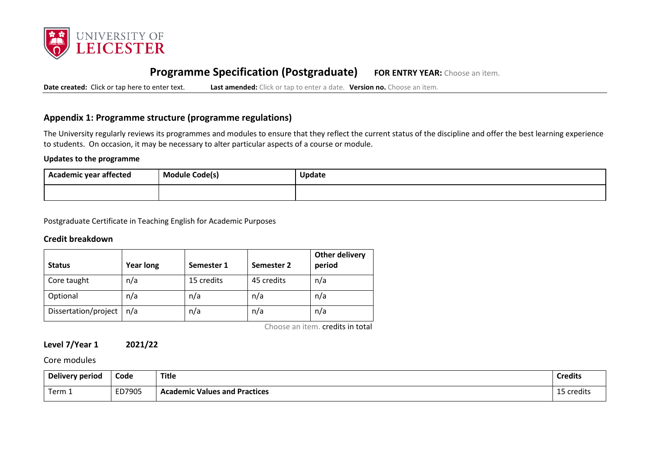

# **Programme Specification (Postgraduate) FOR ENTRY YEAR:** Choose an item.

**Date created:** Click or tap here to enter text. **Last amended:** Click or tap to enter a date. **Version no.** Choose an item.

#### **Appendix 1: Programme structure (programme regulations)**

The University regularly reviews its programmes and modules to ensure that they reflect the current status of the discipline and offer the best learning experience to students. On occasion, it may be necessary to alter particular aspects of a course or module.

#### **Updates to the programme**

| --<br>Academic year affected | <b>Module Code(s)</b><br>. . | <b>Update</b> |
|------------------------------|------------------------------|---------------|
|                              |                              |               |

Postgraduate Certificate in Teaching English for Academic Purposes

#### **Credit breakdown**

| <b>Status</b>        | <b>Year long</b> | Semester 1 | Semester 2 | Other delivery<br>period |
|----------------------|------------------|------------|------------|--------------------------|
| Core taught          | n/a              | 15 credits | 45 credits | n/a                      |
| Optional             | n/a              | n/a        | n/a        | n/a                      |
| Dissertation/project | n/a              | n/a        | n/a        | n/a                      |

Choose an item. credits in total

#### **Level 7/Year 1 2021/22**

#### Core modules

| <b>Delivery period</b> | Code   | <b>Title</b>                         | <b>Credits</b> |
|------------------------|--------|--------------------------------------|----------------|
| Term 1                 | ED7905 | <b>Academic Values and Practices</b> | 15 credits     |